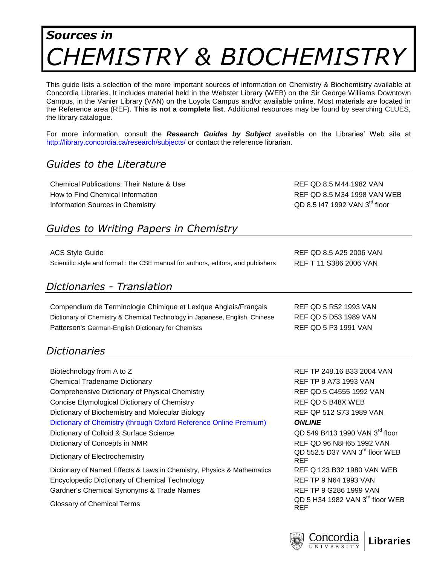# *Sources in CHEMISTRY & BIOCHEMISTRY*

This guide lists a selection of the more important sources of information on Chemistry & Biochemistry available at Concordia Libraries. It includes material held in the Webster Library (WEB) on the Sir George Williams Downtown Campus, in the Vanier Library (VAN) on the Loyola Campus and/or available online. Most materials are located in the Reference area (REF). **This is not a complete list**. Additional resources may be found by searching CLUES, the library catalogue.

For more information, consult the *Research Guides by Subject* available on the Libraries' Web site at <http://library.concordia.ca/research/subjects/> or contact the reference librarian.

# *Guides to the Literature*

Chemical Publications: Their Nature & Use Refractions: Their Nature & Use REF QD 8.5 M44 1982 VAN How to Find Chemical Information **Ref** Contains the REF QD 8.5 M34 1998 VAN WEB Information Sources in Chemistry

QD 8.5 I47 1992 VAN 3rd floor

# *Guides to Writing Papers in Chemistry*

| <b>ACS Style Guide</b>                                                            | REF QD 8.5 A25 2006 VAN |
|-----------------------------------------------------------------------------------|-------------------------|
| Scientific style and format : the CSE manual for authors, editors, and publishers | REF T 11 S386 2006 VAN  |

### *Dictionaries - Translation*

Compendium de Terminologie Chimique et Lexique Anglais/Français REF QD 5 R52 1993 VAN Dictionary of Chemistry & Chemical Technology in Japanese, English, Chinese REF QD 5 D53 1989 VAN Patterson's German-English Dictionary for Chemists REF QD 5 P3 1991 VAN

### *Dictionaries*

| Biotechnology from A to Z                                              | REF TP 248.16 B33 2004 VAN                                |
|------------------------------------------------------------------------|-----------------------------------------------------------|
| <b>Chemical Tradename Dictionary</b>                                   | <b>REF TP 9 A73 1993 VAN</b>                              |
| Comprehensive Dictionary of Physical Chemistry                         | REF QD 5 C4555 1992 VAN                                   |
| Concise Etymological Dictionary of Chemistry                           | REF QD 5 B48X WEB                                         |
| Dictionary of Biochemistry and Molecular Biology                       | REF QP 512 S73 1989 VAN                                   |
| Dictionary of Chemistry (through Oxford Reference Online Premium)      | <b>ONLINE</b>                                             |
| Dictionary of Colloid & Surface Science                                | QD 549 B413 1990 VAN 3 <sup>rd</sup> floor                |
| Dictionary of Concepts in NMR                                          | REF QD 96 N8H65 1992 VAN                                  |
| Dictionary of Electrochemistry                                         | QD 552.5 D37 VAN 3 <sup>rd</sup> floor WEB<br><b>REF</b>  |
| Dictionary of Named Effects & Laws in Chemistry, Physics & Mathematics | REF Q 123 B32 1980 VAN WEB                                |
| Encyclopedic Dictionary of Chemical Technology                         | <b>REF TP 9 N64 1993 VAN</b>                              |
| Gardner's Chemical Synonyms & Trade Names                              | REF TP 9 G286 1999 VAN                                    |
| Glossary of Chemical Terms                                             | QD 5 H34 1982 VAN 3 <sup>rd</sup> floor WEB<br><b>REF</b> |

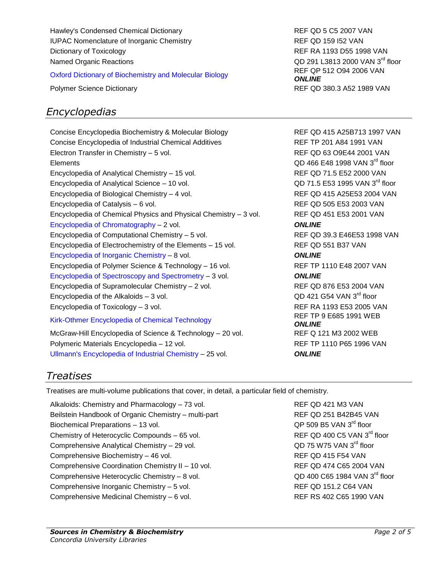Hawley's Condensed Chemical Dictionary **REF QD 5 C5 2007 VAN** IUPAC Nomenclature of Inorganic Chemistry **REF QD 159 ISO** VAN Dictionary of Toxicology **REF RA 1193 D55 1998 VAN** Named Organic Reactions

[Oxford Dictionary of Biochemistry and Molecular Biology](http://clues.concordia.ca/record=b2520956~S0) REF QP 512 O94 2006 VAN

# *Encyclopedias*

Concise Encyclopedia Biochemistry & Molecular Biology REF QD 415 A25B713 1997 VAN Concise Encyclopedia of Industrial Chemical Additives **REF TP 201 A84 1991 VAN** Electron Transfer in Chemistry – 5 vol. REF QD 63 O9E44 2001 VAN Elements **COD** 466 E48 1998 VAN 3<sup>rd</sup> floor Encyclopedia of Analytical Chemistry – 15 vol. REF QD 71.5 E52 2000 VAN Encyclopedia of Analytical Science – 10 vol. Encyclopedia of Biological Chemistry – 4 vol. REF QD 415 A25E53 2004 VAN Encyclopedia of Catalysis – 6 vol. REF QD 505 E53 2003 VAN Encyclopedia of Chemical Physics and Physical Chemistry – 3 vol. REF QD 451 E53 2001 VAN [Encyclopedia of Chromatography](http://clues.concordia.ca/record=b2596479~S0) – 2 vol. *ONLINE* Encyclopedia of Computational Chemistry – 5 vol. REF QD 39.3 E46E53 1998 VAN Encyclopedia of Electrochemistry of the Elements – 15 vol. REF QD 551 B37 VAN [Encyclopedia of Inorganic Chemistry](http://clues.concordia.ca/record=b2248202~S0) – 8 vol. *ONLINE* Encyclopedia of Polymer Science & Technology – 16 vol. REF TP 1110 E48 2007 VAN [Encyclopedia of Spectroscopy and Spectrometry –](http://clues.concordia.ca/record=b2793048~S0) 3 vol. *ONLINE* Encyclopedia of Supramolecular Chemistry – 2 vol. REF QD 876 E53 2004 VAN Encyclopedia of the Alkaloids  $-3$  vol. Encyclopedia of Toxicology – 3 vol. REF RA 1193 E53 2005 VAN [Kirk-Othmer Encyclopedia of Chemical Technology](http://clues.concordia.ca/record=b2191054~S0) REF TP 9 E685 1991 WEB

McGraw-Hill Encyclopedia of Science & Technology - 20 vol. REF Q 121 M3 2002 WEB Polymeric Materials Encyclopedia – 12 vol. REF TP 1110 P65 1996 VAN [Ullmann's Encyclopedia of Industrial Chemistry](http://clues.concordia.ca/record=e1000245~S0) – 25 vol. *ONLINE*

QD 291 L3813 2000 VAN 3<sup>rd</sup> floor *ONLINE* Polymer Science Dictionary **REF QD 380.3 A52 1989 VAN** 

> QD 71.5 E53 1995 VAN 3rd floor  $OD$  421 G54 VAN  $3^{\text{rd}}$  floor *ONLINE*

# *Treatises*

Treatises are multi-volume publications that cover, in detail, a particular field of chemistry.

Alkaloids: Chemistry and Pharmacology – 73 vol. REF QD 421 M3 VAN Beilstein Handbook of Organic Chemistry – multi-part REF QD 251 B42B45 VAN Biochemical Preparations - 13 vol. Chemistry of Heterocyclic Compounds – 65 vol. Comprehensive Analytical Chemistry – 29 vol. Comprehensive Biochemistry – 46 vol. REF QD 415 F54 VAN Comprehensive Coordination Chemistry II – 10 vol. REF QD 474 C65 2004 VAN Comprehensive Heterocyclic Chemistry – 8 vol. Comprehensive Inorganic Chemistry – 5 vol. REF QD 151.2 C64 VAN Comprehensive Medicinal Chemistry – 6 vol. REF RS 402 C65 1990 VAN

QP 509 B5 VAN 3rd floor REF QD 400 C5 VAN 3rd floor  $OD$  75 W75 VAN  $3^{\text{rd}}$  floor  $OD$  400 C65 1984 VAN  $3^{\text{rd}}$  floor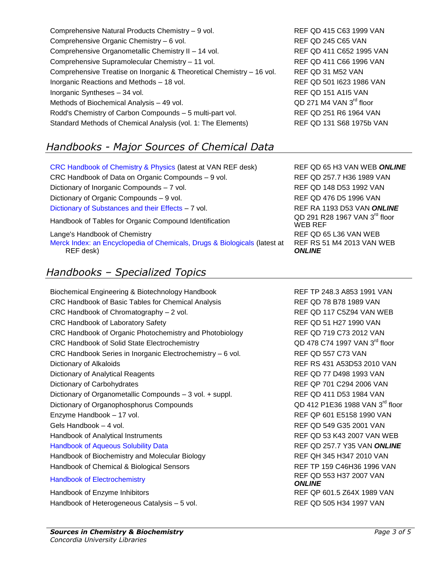Comprehensive Natural Products Chemistry – 9 vol. REF QD 415 C63 1999 VAN Comprehensive Organic Chemistry – 6 vol. **REF QD 245 C65 VAN** Comprehensive Organometallic Chemistry II – 14 vol. REF QD 411 C652 1995 VAN Comprehensive Supramolecular Chemistry – 11 vol. REF QD 411 C66 1996 VAN Comprehensive Treatise on Inorganic & Theoretical Chemistry – 16 vol. REF QD 31 M52 VAN Inorganic Reactions and Methods – 18 vol. REF QD 501 I623 1986 VAN Inorganic Syntheses – 34 vol. **REF QD 151 A115 VAN** Methods of Biochemical Analysis – 49 vol. Rodd's Chemistry of Carbon Compounds – 5 multi-part vol. REF QD 251 R6 1964 VAN Standard Methods of Chemical Analysis (vol. 1: The Elements) REF QD 131 S68 1975b VAN

# *Handbooks - Major Sources of Chemical Data*

[CRC Handbook of Chemistry & Physics](http://clues.concordia.ca/record=b3037451~S0) (latest at VAN REF desk) REF QD 65 H3 VAN WEB *ONLINE* CRC Handbook of Data on Organic Compounds – 9 vol. REF QD 257.7 H36 1989 VAN Dictionary of Inorganic Compounds – 7 vol. REF QD 148 D53 1992 VAN Dictionary of Organic Compounds – 9 vol. REF QD 476 D5 1996 VAN [Dictionary of Substances and their Effects](http://clues.concordia.ca/record=e1000324~S0) – 7 vol. REF RA 1193 D53 VAN ONLINE Handbook of Tables for Organic Compound Identification

Lange's Handbook of Chemistry **REF QD 65 L36 VAN WEB** 

[Merck Index: an Encyclopedia of Chemicals, Drugs & Biologicals](http://clues.concordia.ca/record=e1001249~S0) (latest at REF desk)

# *Handbooks – Specialized Topics*

Biochemical Engineering & Biotechnology Handbook REF TP 248.3 A853 1991 VAN CRC Handbook of Basic Tables for Chemical Analysis REF QD 78 B78 1989 VAN CRC Handbook of Chromatography – 2 vol. The CRC Handbook of Chromatography – 2 vol. CRC Handbook of Laboratory Safety **REF QD 51 H27 1990 VAN** CRC Handbook of Organic Photochemistry and Photobiology REF QD 719 C73 2012 VAN CRC Handbook of Solid State Electrochemistry **QD** 478 C74 1997 VAN 3<sup>rd</sup> floor CRC Handbook Series in Inorganic Electrochemistry – 6 vol. REF QD 557 C73 VAN Dictionary of Alkaloids **REF RS 431 A53D53 2010 VAN** Dictionary of Analytical Reagents **REF QD 77 D498 1993 VAN** Dictionary of Carbohydrates **REF QP 701 C294 2006 VAN** Dictionary of Organometallic Compounds – 3 vol. + suppl. REF QD 411 D53 1984 VAN Dictionary of Organophosphorus Compounds Enzyme Handbook – 17 vol. The state of the state of the REF QP 601 E5158 1990 VAN Gels Handbook – 4 vol. **REF QD 549 G35 2001 VAN** Handbook of Analytical Instruments **REF QD 53 K43 2007 VAN WEB** [Handbook of Aqueous Solubility Data](http://clues.concordia.ca/record=b2754107~S0) REF QD 257.7 Y35 VAN *ONLINE* Handbook of Biochemistry and Molecular Biology **REF QH 345 H347 2010 VAN** Handbook of Chemical & Biological Sensors **REF TP 159 C46H36 1996 VAN** [Handbook of Electrochemistry](http://clues.concordia.ca/record=b2806446~S0) **REF QD 553 H37 2007 VAN** Handbook of Enzyme Inhibitors **REF QP 601.5 Z64X 1989 VAN** 

Handbook of Heterogeneous Catalysis – 5 vol. REF QD 505 H34 1997 VAN

QD 271 M4 VAN 3rd floor

QD 291 R28 1967 VAN 3rd floor WEB REF REF RS 51 M4 2013 VAN WEB *ONLINE*

QD 412 P1E36 1988 VAN 3rd floor *ONLINE*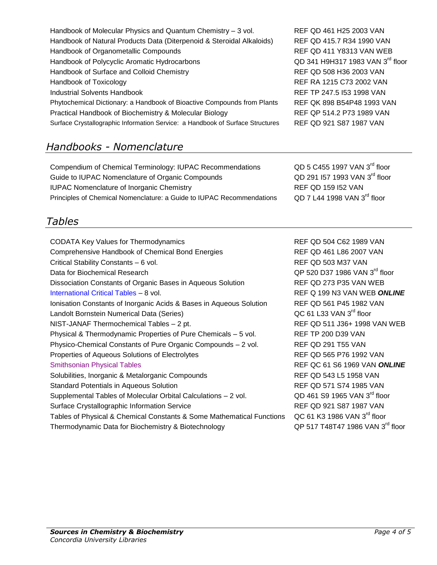| Handbook of Molecular Physics and Quantum Chemistry - 3 vol.                   | REF QD 461 H25 2003 VAN          |
|--------------------------------------------------------------------------------|----------------------------------|
| Handbook of Natural Products Data (Diterpenoid & Steroidal Alkaloids)          | REF QD 415.7 R34 1990 VAN        |
| Handbook of Organometallic Compounds                                           | <b>REF QD 411 Y8313 VAN WEB</b>  |
| Handbook of Polycyclic Aromatic Hydrocarbons                                   | QD 341 H9H317 1983 VAN 3rd floor |
| Handbook of Surface and Colloid Chemistry                                      | REF QD 508 H36 2003 VAN          |
| Handbook of Toxicology                                                         | REF RA 1215 C73 2002 VAN         |
| <b>Industrial Solvents Handbook</b>                                            | REF TP 247.5 153 1998 VAN        |
| Phytochemical Dictionary: a Handbook of Bioactive Compounds from Plants        | REF QK 898 B54P48 1993 VAN       |
| Practical Handbook of Biochemistry & Molecular Biology                         | REF QP 514.2 P73 1989 VAN        |
| Surface Crystallographic Information Service: a Handbook of Surface Structures | REF QD 921 S87 1987 VAN          |

# *Handbooks - Nomenclature*

| QD 5 C455 1997 VAN 3 <sup>rd</sup> floor |
|------------------------------------------|
| QD 291 I57 1993 VAN 3rd floor            |
| <b>REF QD 159 I52 VAN</b>                |
| QD 7 L44 1998 VAN 3 <sup>rd</sup> floor  |
|                                          |

# *Tables*

CODATA Key Values for Thermodynamics **REF QD 504 C62 1989 VAN** Comprehensive Handbook of Chemical Bond Energies REF QD 461 L86 2007 VAN Critical Stability Constants – 6 vol. **REF QD 503 M37 VAN** Data for Biochemical Research Dissociation Constants of Organic Bases in Aqueous Solution REF QD 273 P35 VAN WEB [International Critical Tables](http://clues.concordia.ca/record=b1418416~S0) – 8 vol. REF Q 199 N3 VAN WEB *ONLINE* Ionisation Constants of Inorganic Acids & Bases in Aqueous Solution REF QD 561 P45 1982 VAN Landolt Bornstein Numerical Data (Series) NIST-JANAF Thermochemical Tables – 2 pt. REF QD 511 J36+ 1998 VAN WEB Physical & Thermodynamic Properties of Pure Chemicals – 5 vol. REF TP 200 D39 VAN Physico-Chemical Constants of Pure Organic Compounds – 2 vol. REF QD 291 T55 VAN Properties of Aqueous Solutions of Electrolytes **REF QD 565 P76 1992 VAN** [Smithsonian Physical Tables](http://clues.concordia.ca/record=b1807757~S0) **REF QC 61 S6 1969 VAN ONLINE** Solubilities, Inorganic & Metalorganic Compounds **REF QD 543 L5 1958 VAN** Standard Potentials in Aqueous Solution **REF QD 571 S74 1985 VAN** Supplemental Tables of Molecular Orbital Calculations – 2 vol. Surface Crystallographic Information Service REF QD 921 S87 1987 VAN Tables of Physical & Chemical Constants & Some Mathematical Functions Thermodynamic Data for Biochemistry & Biotechnology

QP 520 D37 1986 VAN 3rd floor QC 61 L33 VAN 3rd floor QD 461 S9 1965 VAN  $3^{\text{rd}}$  floor QC 61 K3 1986 VAN 3rd floor OP 517 T48T47 1986 VAN 3<sup>rd</sup> floor